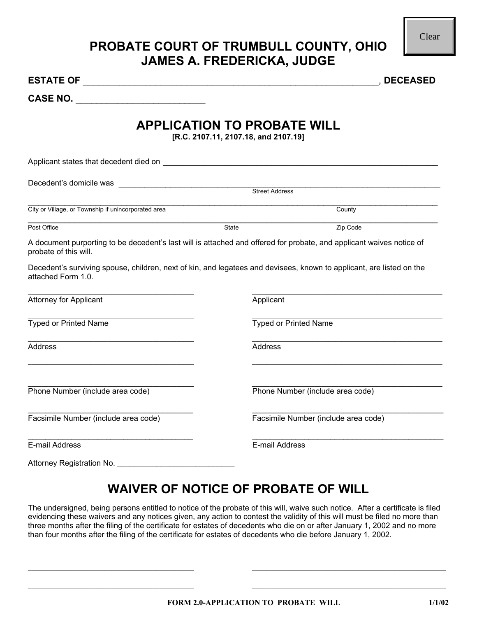### **PROBATE COURT OF TRUMBULL COUNTY, OHIO JAMES A. FREDERICKA, JUDGE**

| <b>CASE NO.</b> |  |
|-----------------|--|
|-----------------|--|

### **APPLICATION TO PROBATE WILL**

|                                                                                                                                                                                                                                                                                                                                                                                                                                                                                                            |       | <b>PROBATE COURT OF TRUMBULL COUNTY, OHIO</b><br><b>JAMES A. FREDERICKA, JUDGE</b> | Clear      |
|------------------------------------------------------------------------------------------------------------------------------------------------------------------------------------------------------------------------------------------------------------------------------------------------------------------------------------------------------------------------------------------------------------------------------------------------------------------------------------------------------------|-------|------------------------------------------------------------------------------------|------------|
|                                                                                                                                                                                                                                                                                                                                                                                                                                                                                                            |       |                                                                                    | , DECEASED |
| CASE NO.                                                                                                                                                                                                                                                                                                                                                                                                                                                                                                   |       |                                                                                    |            |
|                                                                                                                                                                                                                                                                                                                                                                                                                                                                                                            |       | <b>APPLICATION TO PROBATE WILL</b><br>[R.C. 2107.11, 2107.18, and 2107.19]         |            |
|                                                                                                                                                                                                                                                                                                                                                                                                                                                                                                            |       |                                                                                    |            |
|                                                                                                                                                                                                                                                                                                                                                                                                                                                                                                            |       |                                                                                    |            |
| City or Village, or Township if unincorporated area                                                                                                                                                                                                                                                                                                                                                                                                                                                        |       | County                                                                             |            |
| Post Office                                                                                                                                                                                                                                                                                                                                                                                                                                                                                                | State | Zip Code                                                                           |            |
| A document purporting to be decedent's last will is attached and offered for probate, and applicant waives notice of<br>probate of this will.                                                                                                                                                                                                                                                                                                                                                              |       |                                                                                    |            |
| Decedent's surviving spouse, children, next of kin, and legatees and devisees, known to applicant, are listed on the<br>attached Form 1.0.                                                                                                                                                                                                                                                                                                                                                                 |       |                                                                                    |            |
| <b>Attorney for Applicant</b>                                                                                                                                                                                                                                                                                                                                                                                                                                                                              |       | Applicant                                                                          |            |
| <b>Typed or Printed Name</b>                                                                                                                                                                                                                                                                                                                                                                                                                                                                               |       | <b>Typed or Printed Name</b>                                                       |            |
| Address                                                                                                                                                                                                                                                                                                                                                                                                                                                                                                    |       | <b>Address</b>                                                                     |            |
| Phone Number (include area code)                                                                                                                                                                                                                                                                                                                                                                                                                                                                           |       | Phone Number (include area code)                                                   |            |
| Facsimile Number (include area code)                                                                                                                                                                                                                                                                                                                                                                                                                                                                       |       | Facsimile Number (include area code)                                               |            |
| E-mail Address                                                                                                                                                                                                                                                                                                                                                                                                                                                                                             |       | E-mail Address                                                                     |            |
|                                                                                                                                                                                                                                                                                                                                                                                                                                                                                                            |       | <b>WAIVER OF NOTICE OF PROBATE OF WILL</b>                                         |            |
| The undersigned, being persons entitled to notice of the probate of this will, waive such notice. After a certificate is filed<br>evidencing these waivers and any notices given, any action to contest the validity of this will must be filed no more than<br>three months after the filing of the certificate for estates of decedents who die on or after January 1, 2002 and no more<br>than four months after the filing of the certificate for estates of decedents who die before January 1, 2002. |       |                                                                                    |            |
|                                                                                                                                                                                                                                                                                                                                                                                                                                                                                                            |       | FORM 2.0-APPLICATION TO PROBATE WILL                                               | 1/1/02     |

# **WAIVER OF NOTICE OF PROBATE OF WILL**